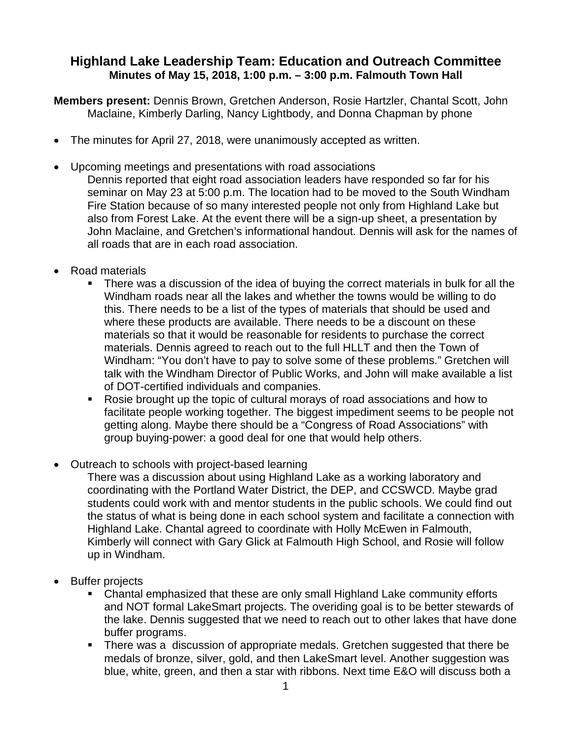## **Highland Lake Leadership Team: Education and Outreach Committee Minutes of May 15, 2018, 1:00 p.m. – 3:00 p.m. Falmouth Town Hall**

**Members present:** Dennis Brown, Gretchen Anderson, Rosie Hartzler, Chantal Scott, John Maclaine, Kimberly Darling, Nancy Lightbody, and Donna Chapman by phone

- The minutes for April 27, 2018, were unanimously accepted as written.
- Upcoming meetings and presentations with road associations Dennis reported that eight road association leaders have responded so far for his seminar on May 23 at 5:00 p.m. The location had to be moved to the South Windham Fire Station because of so many interested people not only from Highland Lake but also from Forest Lake. At the event there will be a sign-up sheet, a presentation by John Maclaine, and Gretchen's informational handout. Dennis will ask for the names of all roads that are in each road association.
- Road materials
	- There was a discussion of the idea of buying the correct materials in bulk for all the Windham roads near all the lakes and whether the towns would be willing to do this. There needs to be a list of the types of materials that should be used and where these products are available. There needs to be a discount on these materials so that it would be reasonable for residents to purchase the correct materials. Dennis agreed to reach out to the full HLLT and then the Town of Windham: "You don't have to pay to solve some of these problems." Gretchen will talk with the Windham Director of Public Works, and John will make available a list of DOT-certified individuals and companies.
	- Rosie brought up the topic of cultural morays of road associations and how to facilitate people working together. The biggest impediment seems to be people not getting along. Maybe there should be a "Congress of Road Associations" with group buying-power: a good deal for one that would help others.
- Outreach to schools with project-based learning

There was a discussion about using Highland Lake as a working laboratory and coordinating with the Portland Water District, the DEP, and CCSWCD. Maybe grad students could work with and mentor students in the public schools. We could find out the status of what is being done in each school system and facilitate a connection with Highland Lake. Chantal agreed to coordinate with Holly McEwen in Falmouth, Kimberly will connect with Gary Glick at Falmouth High School, and Rosie will follow up in Windham.

- Buffer projects
	- Chantal emphasized that these are only small Highland Lake community efforts and NOT formal LakeSmart projects. The overiding goal is to be better stewards of the lake. Dennis suggested that we need to reach out to other lakes that have done buffer programs.
	- There was a discussion of appropriate medals. Gretchen suggested that there be medals of bronze, silver, gold, and then LakeSmart level. Another suggestion was blue, white, green, and then a star with ribbons. Next time E&O will discuss both a